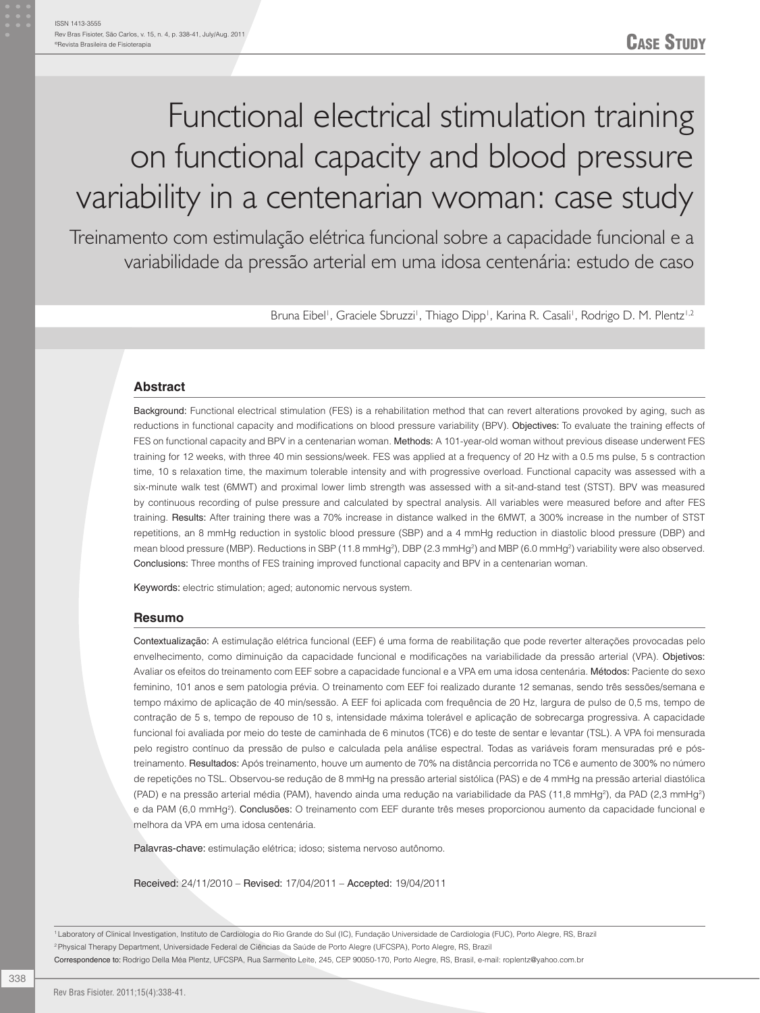# Functional electrical stimulation training on functional capacity and blood pressure variability in a centenarian woman: case study

Treinamento com estimulação elétrica funcional sobre a capacidade funcional e a variabilidade da pressão arterial em uma idosa centenária: estudo de caso

Bruna Eibel<sup>i</sup>, Graciele Sbruzzi<sup>i</sup>, Thiago Dipp<sup>i</sup>, Karina R. Casali<sup>i</sup>, Rodrigo D. M. Plentz<sup>i,2</sup>

#### **Abstract**

Background: Functional electrical stimulation (FES) is a rehabilitation method that can revert alterations provoked by aging, such as reductions in functional capacity and modifications on blood pressure variability (BPV). Objectives: To evaluate the training effects of FES on functional capacity and BPV in a centenarian woman. Methods: A 101-year-old woman without previous disease underwent FES training for 12 weeks, with three 40 min sessions/week. FES was applied at a frequency of 20 Hz with a 0.5 ms pulse, 5 s contraction time, 10 s relaxation time, the maximum tolerable intensity and with progressive overload. Functional capacity was assessed with a six-minute walk test (6MWT) and proximal lower limb strength was assessed with a sit-and-stand test (STST). BPV was measured by continuous recording of pulse pressure and calculated by spectral analysis. All variables were measured before and after FES training. Results: After training there was a 70% increase in distance walked in the 6MWT, a 300% increase in the number of STST repetitions, an 8 mmHg reduction in systolic blood pressure (SBP) and a 4 mmHg reduction in diastolic blood pressure (DBP) and mean blood pressure (MBP). Reductions in SBP (11.8 mmHg<sup>2</sup>), DBP (2.3 mmHg<sup>2</sup>) and MBP (6.0 mmHg<sup>2</sup>) variability were also observed. Conclusions: Three months of FES training improved functional capacity and BPV in a centenarian woman.

Keywords: electric stimulation; aged; autonomic nervous system.

#### **Resumo**

Contextualização: A estimulação elétrica funcional (EEF) é uma forma de reabilitação que pode reverter alterações provocadas pelo envelhecimento, como diminuição da capacidade funcional e modificações na variabilidade da pressão arterial (VPA). Objetivos: Avaliar os efeitos do treinamento com EEF sobre a capacidade funcional e a VPA em uma idosa centenária. Métodos: Paciente do sexo feminino, 101 anos e sem patologia prévia. O treinamento com EEF foi realizado durante 12 semanas, sendo três sessões/semana e tempo máximo de aplicação de 40 min/sessão. A EEF foi aplicada com frequência de 20 Hz, largura de pulso de 0,5 ms, tempo de contração de 5 s, tempo de repouso de 10 s, intensidade máxima tolerável e aplicação de sobrecarga progressiva. A capacidade funcional foi avaliada por meio do teste de caminhada de 6 minutos (TC6) e do teste de sentar e levantar (TSL). A VPA foi mensurada pelo registro contínuo da pressão de pulso e calculada pela análise espectral. Todas as variáveis foram mensuradas pré e póstreinamento. Resultados: Após treinamento, houve um aumento de 70% na distância percorrida no TC6 e aumento de 300% no número de repetições no TSL. Observou-se redução de 8 mmHg na pressão arterial sistólica (PAS) e de 4 mmHg na pressão arterial diastólica (PAD) e na pressão arterial média (PAM), havendo ainda uma redução na variabilidade da PAS (11,8 mmHg<sup>2</sup>), da PAD (2,3 mmHg<sup>2</sup>) e da PAM (6,0 mmHg<sup>2</sup>). Conclusões: O treinamento com EEF durante três meses proporcionou aumento da capacidade funcional e melhora da VPA em uma idosa centenária.

Palavras-chave: estimulação elétrica; idoso; sistema nervoso autônomo.

Received: 24/11/2010 – Revised: 17/04/2011 – Accepted: 19/04/2011

1 Laboratory of Clinical Investigation, Instituto de Cardiologia do Rio Grande do Sul (IC), Fundação Universidade de Cardiologia (FUC), Porto Alegre, RS, Brazil 2 Physical Therapy Department, Universidade Federal de Ciências da Saúde de Porto Alegre (UFCSPA), Porto Alegre, RS, Brazil Correspondence to: Rodrigo Della Méa Plentz, UFCSPA, Rua Sarmento Leite, 245, CEP 90050-170, Porto Alegre, RS, Brasil, e-mail: roplentz@yahoo.com.br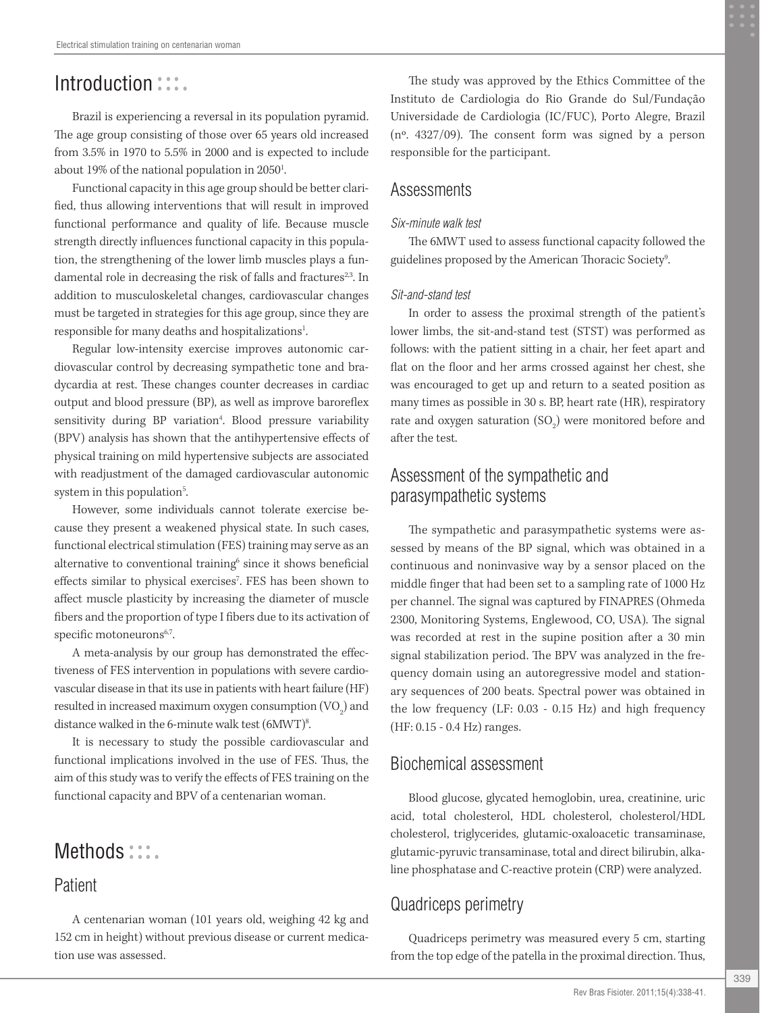# Introduction :::.

Brazil is experiencing a reversal in its population pyramid. The age group consisting of those over 65 years old increased from 3.5% in 1970 to 5.5% in 2000 and is expected to include about 19% of the national population in  $2050<sup>1</sup>$ .

Functional capacity in this age group should be better clarified, thus allowing interventions that will result in improved functional performance and quality of life. Because muscle strength directly influences functional capacity in this population, the strengthening of the lower limb muscles plays a fundamental role in decreasing the risk of falls and fractures<sup>2,3</sup>. In addition to musculoskeletal changes, cardiovascular changes must be targeted in strategies for this age group, since they are responsible for many deaths and hospitalizations<sup>1</sup>.

Regular low-intensity exercise improves autonomic cardiovascular control by decreasing sympathetic tone and bradycardia at rest. These changes counter decreases in cardiac output and blood pressure (BP), as well as improve baroreflex sensitivity during BP variation<sup>4</sup>. Blood pressure variability (BPV) analysis has shown that the antihypertensive effects of physical training on mild hypertensive subjects are associated with readjustment of the damaged cardiovascular autonomic system in this population<sup>5</sup>.

However, some individuals cannot tolerate exercise because they present a weakened physical state. In such cases, functional electrical stimulation (FES) training may serve as an alternative to conventional training<sup>6</sup> since it shows beneficial effects similar to physical exercises<sup>7</sup>. FES has been shown to affect muscle plasticity by increasing the diameter of muscle fibers and the proportion of type I fibers due to its activation of specific motoneurons<sup>6,7</sup>.

A meta-analysis by our group has demonstrated the effectiveness of FES intervention in populations with severe cardiovascular disease in that its use in patients with heart failure (HF) resulted in increased maximum oxygen consumption  $(\mathrm{VO}_2)$  and distance walked in the 6-minute walk test (6MWT)<sup>8</sup>.

It is necessary to study the possible cardiovascular and functional implications involved in the use of FES. Thus, the aim of this study was to verify the effects of FES training on the functional capacity and BPV of a centenarian woman.

# Methods :::.

#### Patient

A centenarian woman (101 years old, weighing 42 kg and 152 cm in height) without previous disease or current medication use was assessed.

The study was approved by the Ethics Committee of the Instituto de Cardiologia do Rio Grande do Sul/Fundação Universidade de Cardiologia (IC/FUC), Porto Alegre, Brazil (nº. 4327/09). The consent form was signed by a person responsible for the participant.

#### Assessments

#### *Six-minute walk test*

The 6MWT used to assess functional capacity followed the guidelines proposed by the American Thoracic Society<sup>9</sup>.

#### *Sit-and-stand test*

In order to assess the proximal strength of the patient's lower limbs, the sit-and-stand test (STST) was performed as follows: with the patient sitting in a chair, her feet apart and flat on the floor and her arms crossed against her chest, she was encouraged to get up and return to a seated position as many times as possible in 30 s. BP, heart rate (HR), respiratory rate and oxygen saturation  $(SO_2)$  were monitored before and after the test.

### Assessment of the sympathetic and parasympathetic systems

The sympathetic and parasympathetic systems were assessed by means of the BP signal, which was obtained in a continuous and noninvasive way by a sensor placed on the middle finger that had been set to a sampling rate of 1000 Hz per channel. The signal was captured by FINAPRES (Ohmeda 2300, Monitoring Systems, Englewood, CO, USA). The signal was recorded at rest in the supine position after a 30 min signal stabilization period. The BPV was analyzed in the frequency domain using an autoregressive model and stationary sequences of 200 beats. Spectral power was obtained in the low frequency (LF: 0.03 - 0.15 Hz) and high frequency (HF: 0.15 - 0.4 Hz) ranges.

#### Biochemical assessment

Blood glucose, glycated hemoglobin, urea, creatinine, uric acid, total cholesterol, HDL cholesterol, cholesterol/HDL cholesterol, triglycerides, glutamic-oxaloacetic transaminase, glutamic-pyruvic transaminase, total and direct bilirubin, alkaline phosphatase and C-reactive protein (CRP) were analyzed.

## Quadriceps perimetry

Quadriceps perimetry was measured every 5 cm, starting from the top edge of the patella in the proximal direction. Thus,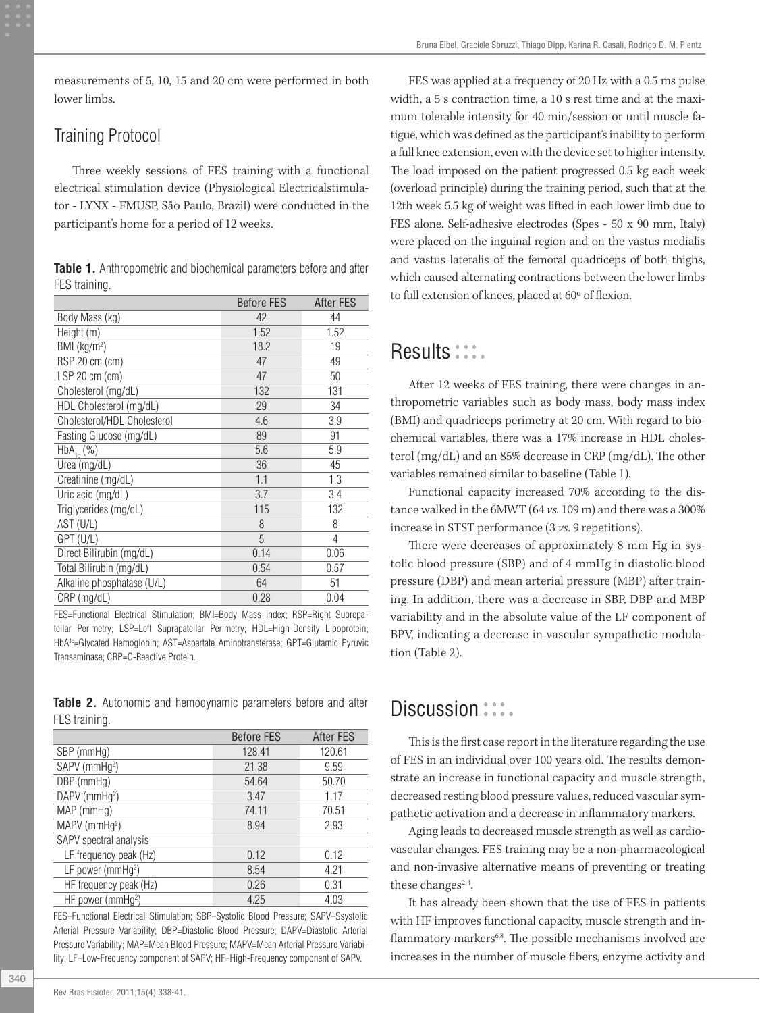measurements of 5, 10, 15 and 20 cm were performed in both lower limbs.

#### Training Protocol

Three weekly sessions of FES training with a functional electrical stimulation device (Physiological Electricalstimulator - LYNX - FMUSP, São Paulo, Brazil) were conducted in the participant's home for a period of 12 weeks.

|               | Table 1. Anthropometric and biochemical parameters before and after |  |  |
|---------------|---------------------------------------------------------------------|--|--|
| FES training. |                                                                     |  |  |

|                             | <b>Before FES</b> | After FES |
|-----------------------------|-------------------|-----------|
| Body Mass (kg)              | 42                | 44        |
| Height (m)                  | 1.52              | 1.52      |
| BMI (kg/m <sup>2</sup> )    | 18.2              | 19        |
| RSP 20 cm (cm)              | 47                | 49        |
| $LSP$ 20 cm (cm)            | 47                | 50        |
| Cholesterol (mg/dL)         | 132               | 131       |
| HDL Cholesterol (mg/dL)     | 29                | 34        |
| Cholesterol/HDL Cholesterol | 4.6               | 3.9       |
| Fasting Glucose (mg/dL)     | 89                | 91        |
| $HbA_{1c}$ (%)              | 5.6               | 5.9       |
| Urea (mg/dL)                | 36                | 45        |
| Creatinine (mg/dL)          | 1.1               | 1.3       |
| Uric acid (mg/dL)           | 3.7               | 3.4       |
| Triglycerides (mg/dL)       | 115               | 132       |
| AST (U/L)                   | 8                 | 8         |
| GPT (U/L)                   | 5                 | 4         |
| Direct Bilirubin (mg/dL)    | 0.14              | 0.06      |
| Total Bilirubin (mg/dL)     | 0.54              | 0.57      |
| Alkaline phosphatase (U/L)  | 64                | 51        |
| $CRP$ (mg/dL)               | 0.28              | 0.04      |

FES=Functional Electrical Stimulation; BMI=Body Mass Index; RSP=Right Suprepatellar Perimetry; LSP=Left Suprapatellar Perimetry; HDL=High-Density Lipoprotein; HbA<sup>1c</sup>=Glycated Hemoglobin; AST=Aspartate Aminotransferase; GPT=Glutamic Pyruvic Transaminase; CRP=C-Reactive Protein.

|               |  | <b>Table 2.</b> Autonomic and hemodynamic parameters before and after |  |  |
|---------------|--|-----------------------------------------------------------------------|--|--|
| FES training. |  |                                                                       |  |  |

| <b>Before FES</b> | <b>After FES</b> |
|-------------------|------------------|
| 128.41            | 120.61           |
| 21.38             | 9.59             |
| 54.64             | 50.70            |
| 3.47              | 1.17             |
| 74.11             | 70.51            |
| 8.94              | 2.93             |
|                   |                  |
| 0.12              | 0.12             |
| 8.54              | 4.21             |
| 0.26              | 0.31             |
| 4.25              | 4.03             |
|                   |                  |

FES=Functional Electrical Stimulation; SBP=Systolic Blood Pressure; SAPV=Ssystolic Arterial Pressure Variability; DBP=Diastolic Blood Pressure; DAPV=Diastolic Arterial Pressure Variability; MAP=Mean Blood Pressure; MAPV=Mean Arterial Pressure Variability; LF=Low-Frequency component of SAPV; HF=High-Frequency component of SAPV.

FES was applied at a frequency of 20 Hz with a 0.5 ms pulse width, a 5 s contraction time, a 10 s rest time and at the maximum tolerable intensity for 40 min/session or until muscle fatigue, which was defined as the participant's inability to perform a full knee extension, even with the device set to higher intensity. The load imposed on the patient progressed 0.5 kg each week (overload principle) during the training period, such that at the 12th week 5.5 kg of weight was lifted in each lower limb due to FES alone. Self-adhesive electrodes (Spes - 50 x 90 mm, Italy) were placed on the inguinal region and on the vastus medialis and vastus lateralis of the femoral quadriceps of both thighs, which caused alternating contractions between the lower limbs to full extension of knees, placed at 60º of flexion.

## Results :::.

After 12 weeks of FES training, there were changes in anthropometric variables such as body mass, body mass index (BMI) and quadriceps perimetry at 20 cm. With regard to biochemical variables, there was a 17% increase in HDL cholesterol (mg/dL) and an 85% decrease in CRP (mg/dL). The other variables remained similar to baseline (Table 1).

Functional capacity increased 70% according to the distance walked in the 6MWT (64 *vs.* 109 m) and there was a 300% increase in STST performance (3 *vs*. 9 repetitions).

There were decreases of approximately 8 mm Hg in systolic blood pressure (SBP) and of 4 mmHg in diastolic blood pressure (DBP) and mean arterial pressure (MBP) after training. In addition, there was a decrease in SBP, DBP and MBP variability and in the absolute value of the LF component of BPV, indicating a decrease in vascular sympathetic modulation (Table 2).

## Discussion :::.

This is the first case report in the literature regarding the use of FES in an individual over 100 years old. The results demonstrate an increase in functional capacity and muscle strength, decreased resting blood pressure values, reduced vascular sympathetic activation and a decrease in inflammatory markers.

Aging leads to decreased muscle strength as well as cardiovascular changes. FES training may be a non-pharmacological and non-invasive alternative means of preventing or treating these changes $2-4$ .

It has already been shown that the use of FES in patients with HF improves functional capacity, muscle strength and inflammatory markers<sup>6,8</sup>. The possible mechanisms involved are increases in the number of muscle fibers, enzyme activity and